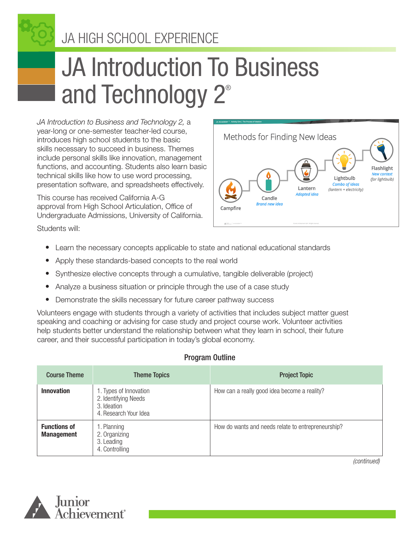JA HIGH SCHOOL EXPERIENCE

# JA Introduction To Business and Technology 2®

*JA Introduction to Business and Technology 2,* a year-long or one-semester teacher-led course, introduces high school students to the basic skills necessary to succeed in business. Themes include personal skills like innovation, management functions, and accounting. Students also learn basic technical skills like how to use word processing, presentation software, and spreadsheets effectively.

This course has received California A-G approval from High School Articulation, Office of Undergraduate Admissions, University of California.

Methods for Finding New Ideas Flashlight **New contex** Lightbulb (for lightbulb) **Combo of ideas** Lantern (lantern + electricity) **Adapted idea** Candle **Brand new ided** Campfire

Students will:

- Learn the necessary concepts applicable to state and national educational standards
- Apply these standards-based concepts to the real world
- Synthesize elective concepts through a cumulative, tangible deliverable (project)
- Analyze a business situation or principle through the use of a case study
- Demonstrate the skills necessary for future career pathway success

Volunteers engage with students through a variety of activities that includes subject matter guest speaking and coaching or advising for case study and project course work. Volunteer activities help students better understand the relationship between what they learn in school, their future career, and their successful participation in today's global economy.

#### Program Outline

| <b>Course Theme</b>                      | <b>Theme Topics</b>                                                                    | <b>Project Topic</b>                               |
|------------------------------------------|----------------------------------------------------------------------------------------|----------------------------------------------------|
| <b>Innovation</b>                        | 1. Types of Innovation<br>2. Identifying Needs<br>3. Ideation<br>4. Research Your Idea | How can a really good idea become a reality?       |
| <b>Functions of</b><br><b>Management</b> | 1. Planning<br>2. Organizing<br>3. Leading<br>4. Controlling                           | How do wants and needs relate to entrepreneurship? |

*(continued)*

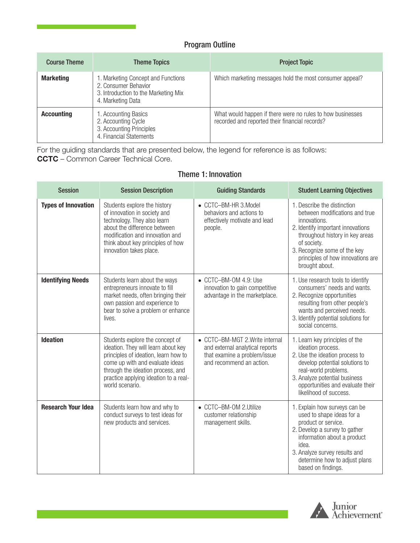#### Program Outline

| <b>Course Theme</b> | <b>Theme Topics</b>                                                                                                     | <b>Project Topic</b>                                                                                         |
|---------------------|-------------------------------------------------------------------------------------------------------------------------|--------------------------------------------------------------------------------------------------------------|
| <b>Marketing</b>    | 1. Marketing Concept and Functions<br>2. Consumer Behavior<br>3. Introduction to the Marketing Mix<br>4. Marketing Data | Which marketing messages hold the most consumer appeal?                                                      |
| <b>Accounting</b>   | 1. Accounting Basics<br>2. Accounting Cycle<br>3. Accounting Principles<br>4. Financial Statements                      | What would happen if there were no rules to how businesses<br>recorded and reported their financial records? |

For the guiding standards that are presented below, the legend for reference is as follows: CCTC – Common Career Technical Core.

| <b>Session</b>             | <b>Session Description</b>                                                                                                                                                                                                                         | <b>Guiding Standards</b>                                                                                                       | <b>Student Learning Objectives</b>                                                                                                                                                                                                                          |
|----------------------------|----------------------------------------------------------------------------------------------------------------------------------------------------------------------------------------------------------------------------------------------------|--------------------------------------------------------------------------------------------------------------------------------|-------------------------------------------------------------------------------------------------------------------------------------------------------------------------------------------------------------------------------------------------------------|
| <b>Types of Innovation</b> | Students explore the history<br>of innovation in society and<br>technology. They also learn<br>about the difference between<br>modification and innovation and<br>think about key principles of how<br>innovation takes place.                     | • CCTC-BM-HR 3.Model<br>behaviors and actions to<br>effectively motivate and lead<br>people.                                   | 1. Describe the distinction<br>between modifications and true<br>innovations.<br>2. Identify important innovations<br>throughout history in key areas<br>of society.<br>3. Recognize some of the key<br>principles of how innovations are<br>brought about. |
| <b>Identifying Needs</b>   | Students learn about the ways<br>entrepreneurs innovate to fill<br>market needs, often bringing their<br>own passion and experience to<br>bear to solve a problem or enhance<br>lives.                                                             | • CCTC-BM-OM 4.9: Use<br>innovation to gain competitive<br>advantage in the marketplace.                                       | 1. Use research tools to identify<br>consumers' needs and wants.<br>2. Recognize opportunities<br>resulting from other people's<br>wants and perceived needs.<br>3. Identify potential solutions for<br>social concerns.                                    |
| <b>Ideation</b>            | Students explore the concept of<br>ideation. They will learn about key<br>principles of ideation, learn how to<br>come up with and evaluate ideas<br>through the ideation process, and<br>practice applying ideation to a real-<br>world scenario. | • CCTC-BM-MGT 2. Write internal<br>and external analytical reports<br>that examine a problem/issue<br>and recommend an action. | 1. Learn key principles of the<br>ideation process.<br>2. Use the ideation process to<br>develop potential solutions to<br>real-world problems.<br>3. Analyze potential business<br>opportunities and evaluate their<br>likelihood of success.              |
| <b>Research Your Idea</b>  | Students learn how and why to<br>conduct surveys to test ideas for<br>new products and services.                                                                                                                                                   | • CCTC-BM-OM 2.Utilize<br>customer relationship<br>management skills.                                                          | 1. Explain how surveys can be<br>used to shape ideas for a<br>product or service.<br>2. Develop a survey to gather<br>information about a product<br>idea.<br>3. Analyze survey results and<br>determine how to adjust plans<br>based on findings.          |

#### Theme 1: Innovation

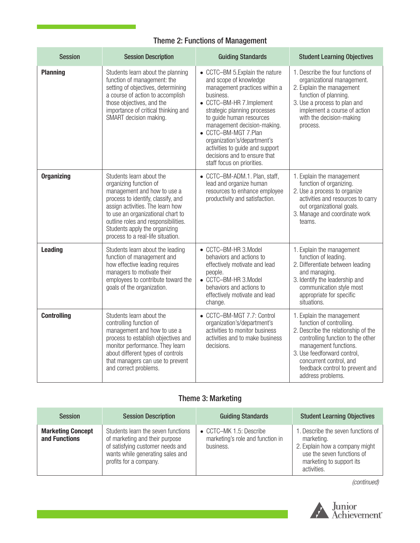## Theme 2: Functions of Management

| <b>Session</b>     | <b>Session Description</b>                                                                                                                                                                                                                                                                                    | <b>Guiding Standards</b>                                                                                                                                                                                                                                                                                                                                                              | <b>Student Learning Objectives</b>                                                                                                                                                                                                                                           |
|--------------------|---------------------------------------------------------------------------------------------------------------------------------------------------------------------------------------------------------------------------------------------------------------------------------------------------------------|---------------------------------------------------------------------------------------------------------------------------------------------------------------------------------------------------------------------------------------------------------------------------------------------------------------------------------------------------------------------------------------|------------------------------------------------------------------------------------------------------------------------------------------------------------------------------------------------------------------------------------------------------------------------------|
| <b>Planning</b>    | Students learn about the planning<br>function of management: the<br>setting of objectives, determining<br>a course of action to accomplish<br>those objectives, and the<br>importance of critical thinking and<br>SMART decision making.                                                                      | • CCTC-BM 5.Explain the nature<br>and scope of knowledge<br>management practices within a<br>business.<br>• CCTC-BM-HR 7.Implement<br>strategic planning processes<br>to guide human resources<br>management decision-making.<br>• CCTC-BM-MGT 7.Plan<br>organization's/department's<br>activities to guide and support<br>decisions and to ensure that<br>staff focus on priorities. | 1. Describe the four functions of<br>organizational management.<br>2. Explain the management<br>function of planning.<br>3. Use a process to plan and<br>implement a course of action<br>with the decision-making<br>process.                                                |
| <b>Organizing</b>  | Students learn about the<br>organizing function of<br>management and how to use a<br>process to identify, classify, and<br>assign activities. The learn how<br>to use an organizational chart to<br>outline roles and responsibilities.<br>Students apply the organizing<br>process to a real-life situation. | • CCTC-BM-ADM.1. Plan, staff,<br>lead and organize human<br>resources to enhance employee<br>productivity and satisfaction.                                                                                                                                                                                                                                                           | 1. Explain the management<br>function of organizing.<br>2. Use a process to organize<br>activities and resources to carry<br>out organizational goals.<br>3. Manage and coordinate work<br>teams.                                                                            |
| <b>Leading</b>     | Students learn about the leading<br>function of management and<br>how effective leading requires<br>managers to motivate their<br>employees to contribute toward the<br>goals of the organization.                                                                                                            | • CCTC-BM-HR 3.Model<br>behaviors and actions to<br>effectively motivate and lead<br>people.<br>• CCTC-BM-HR 3.Model<br>behaviors and actions to<br>effectively motivate and lead<br>change.                                                                                                                                                                                          | 1. Explain the management<br>function of leading.<br>2. Differentiate between leading<br>and managing.<br>3. Identify the leadership and<br>communication style most<br>appropriate for specific<br>situations.                                                              |
| <b>Controlling</b> | Students learn about the<br>controlling function of<br>management and how to use a<br>process to establish objectives and<br>monitor performance. They learn<br>about different types of controls<br>that managers can use to prevent<br>and correct problems.                                                | • CCTC-BM-MGT 7.7: Control<br>organization's/department's<br>activities to monitor business<br>activities and to make business<br>decisions.                                                                                                                                                                                                                                          | 1. Explain the management<br>function of controlling.<br>2. Describe the relationship of the<br>controlling function to the other<br>management functions.<br>3. Use feedforward control,<br>concurrent control, and<br>feedback control to prevent and<br>address problems. |

## Theme 3: Marketing

| <b>Session</b>                            | <b>Session Description</b>                                                                                                                                             | <b>Guiding Standards</b>                                                 | <b>Student Learning Objectives</b>                                                                                                                          |
|-------------------------------------------|------------------------------------------------------------------------------------------------------------------------------------------------------------------------|--------------------------------------------------------------------------|-------------------------------------------------------------------------------------------------------------------------------------------------------------|
| <b>Marketing Concept</b><br>and Functions | Students learn the seven functions<br>of marketing and their purpose<br>of satisfying customer needs and<br>wants while generating sales and<br>profits for a company. | • CCTC-MK 1.5: Describe<br>marketing's role and function in<br>business. | 1. Describe the seven functions of<br>marketing.<br>2. Explain how a company might<br>use the seven functions of<br>marketing to support its<br>activities. |

*(continued)*

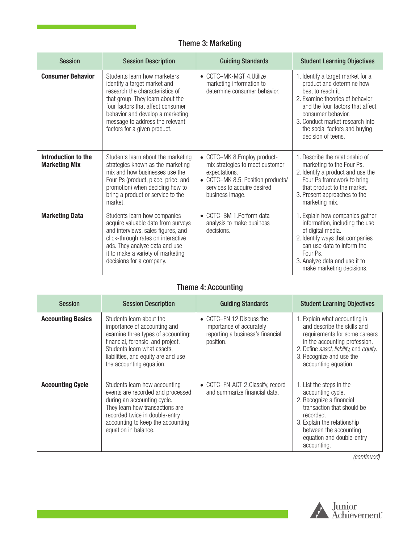# Theme 3: Marketing

| <b>Session</b>                              | <b>Session Description</b>                                                                                                                                                                                                                                                      | <b>Guiding Standards</b>                                                                                                                                               | <b>Student Learning Objectives</b>                                                                                                                                                                                                                                         |
|---------------------------------------------|---------------------------------------------------------------------------------------------------------------------------------------------------------------------------------------------------------------------------------------------------------------------------------|------------------------------------------------------------------------------------------------------------------------------------------------------------------------|----------------------------------------------------------------------------------------------------------------------------------------------------------------------------------------------------------------------------------------------------------------------------|
| <b>Consumer Behavior</b>                    | Students learn how marketers<br>identify a target market and<br>research the characteristics of<br>that group. They learn about the<br>four factors that affect consumer<br>behavior and develop a marketing<br>message to address the relevant<br>factors for a given product. | • CCTC-MK-MGT 4.Utilize<br>marketing information to<br>determine consumer behavior.                                                                                    | 1. Identify a target market for a<br>product and determine how<br>best to reach it.<br>2. Examine theories of behavior<br>and the four factors that affect<br>consumer behavior.<br>3. Conduct market research into<br>the social factors and buying<br>decision of teens. |
| Introduction to the<br><b>Marketing Mix</b> | Students learn about the marketing<br>strategies known as the marketing<br>mix and how businesses use the<br>Four Ps (product, place, price, and<br>promotion) when deciding how to<br>bring a product or service to the<br>market.                                             | • CCTC-MK 8.Employ product-<br>mix strategies to meet customer<br>expectations.<br>• CCTC-MK 8.5: Position products/<br>services to acquire desired<br>business image. | 1. Describe the relationship of<br>marketing to the Four Ps.<br>2. Identify a product and use the<br>Four Ps framework to bring<br>that product to the market.<br>3. Present approaches to the<br>marketing mix.                                                           |
| <b>Marketing Data</b>                       | Students learn how companies<br>acquire valuable data from surveys<br>and interviews, sales figures, and<br>click-through rates on interactive<br>ads. They analyze data and use<br>it to make a variety of marketing<br>decisions for a company.                               | • CCTC-BM 1. Perform data<br>analysis to make business<br>decisions.                                                                                                   | 1. Explain how companies gather<br>information, including the use<br>of digital media.<br>2. Identify ways that companies<br>can use data to inform the<br>Four Ps.<br>3. Analyze data and use it to<br>make marketing decisions.                                          |

## Theme 4: Accounting

| <b>Session</b>           | <b>Session Description</b>                                                                                                                                                                                                            | Guiding Standards                                                                                      | <b>Student Learning Objectives</b>                                                                                                                                                                                                            |
|--------------------------|---------------------------------------------------------------------------------------------------------------------------------------------------------------------------------------------------------------------------------------|--------------------------------------------------------------------------------------------------------|-----------------------------------------------------------------------------------------------------------------------------------------------------------------------------------------------------------------------------------------------|
| <b>Accounting Basics</b> | Students learn about the<br>importance of accounting and<br>examine three types of accounting:<br>financial, forensic, and project.<br>Students learn what assets,<br>liabilities, and equity are and use<br>the accounting equation. | • CCTC-FN 12. Discuss the<br>importance of accurately<br>reporting a business's financial<br>position. | 1. Explain what accounting is<br>and describe the skills and<br>requirements for some careers<br>in the accounting profession.<br>2. Define <i>asset, liability</i> , and <i>equity</i> .<br>3. Recognize and use the<br>accounting equation. |
| <b>Accounting Cycle</b>  | Students learn how accounting<br>events are recorded and processed<br>during an accounting cycle.<br>They learn how transactions are<br>recorded twice in double-entry<br>accounting to keep the accounting<br>equation in balance.   | • CCTC-FN-ACT 2. Classify, record<br>and summarize financial data.                                     | 1. List the steps in the<br>accounting cycle.<br>2. Recognize a financial<br>transaction that should be<br>recorded.<br>3. Explain the relationship<br>between the accounting<br>equation and double-entry<br>accounting.                     |

*(continued)*